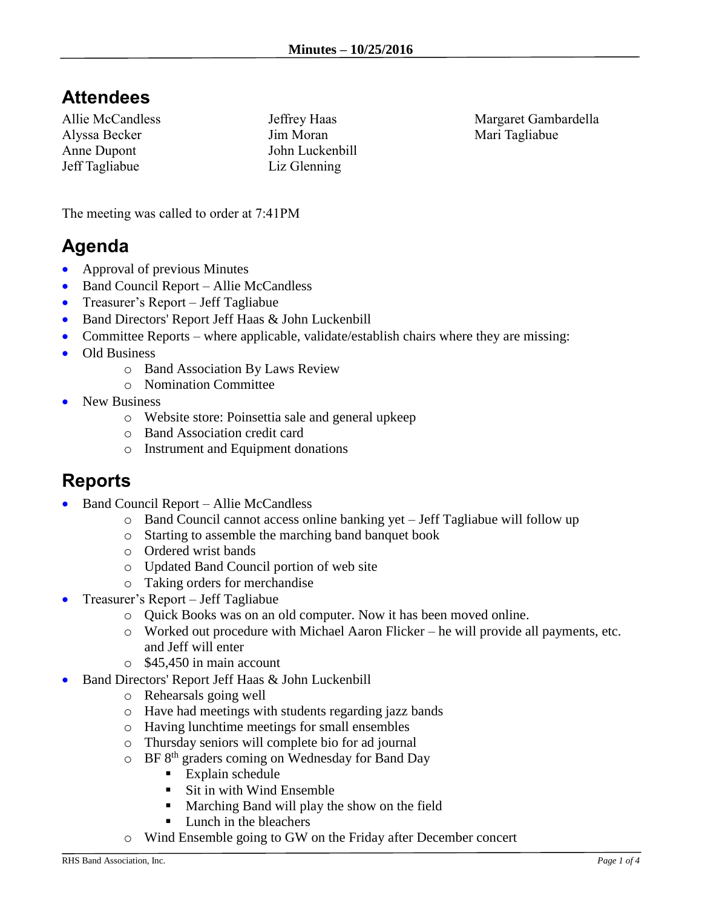# **Attendees**

Allie McCandless Alyssa Becker Anne Dupont Jeff Tagliabue

Jeffrey Haas Jim Moran John Luckenbill Liz Glenning

Margaret Gambardella Mari Tagliabue

The meeting was called to order at 7:41PM

# **Agenda**

- Approval of previous Minutes
- Band Council Report Allie McCandless
- Treasurer's Report Jeff Tagliabue
- Band Directors' Report Jeff Haas & John Luckenbill
- Committee Reports where applicable, validate/establish chairs where they are missing:
- Old Business
	- o Band Association By Laws Review
	- o Nomination Committee
- New Business
	- o Website store: Poinsettia sale and general upkeep
	- o Band Association credit card
	- o Instrument and Equipment donations

#### **Reports**

- Band Council Report Allie McCandless
	- o Band Council cannot access online banking yet Jeff Tagliabue will follow up
	- o Starting to assemble the marching band banquet book
	- o Ordered wrist bands
	- o Updated Band Council portion of web site
	- o Taking orders for merchandise
- Treasurer's Report Jeff Tagliabue
	- o Quick Books was on an old computer. Now it has been moved online.
	- $\circ$  Worked out procedure with Michael Aaron Flicker he will provide all payments, etc. and Jeff will enter
	- o \$45,450 in main account
- Band Directors' Report Jeff Haas & John Luckenbill
	- o Rehearsals going well
	- o Have had meetings with students regarding jazz bands
	- o Having lunchtime meetings for small ensembles
	- o Thursday seniors will complete bio for ad journal
	- $\circ$  BF 8<sup>th</sup> graders coming on Wednesday for Band Day
		- **Explain schedule**
		- Sit in with Wind Ensemble
		- Marching Band will play the show on the field
		- Lunch in the bleachers
	- o Wind Ensemble going to GW on the Friday after December concert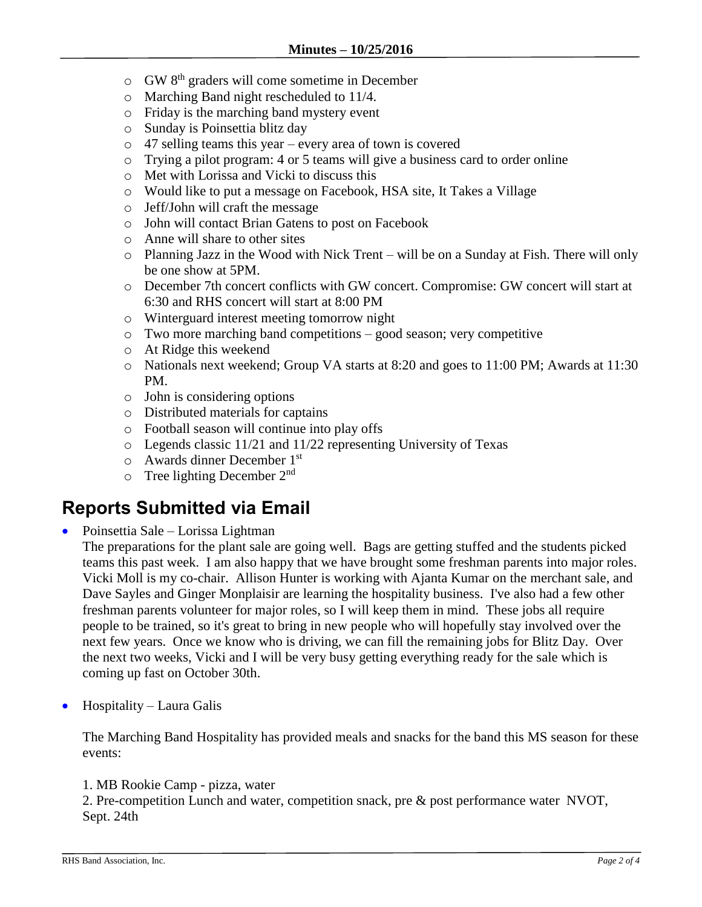- o GW 8th graders will come sometime in December
- o Marching Band night rescheduled to 11/4.
- o Friday is the marching band mystery event
- o Sunday is Poinsettia blitz day
- o 47 selling teams this year every area of town is covered
- o Trying a pilot program: 4 or 5 teams will give a business card to order online
- o Met with Lorissa and Vicki to discuss this
- o Would like to put a message on Facebook, HSA site, It Takes a Village
- o Jeff/John will craft the message
- o John will contact Brian Gatens to post on Facebook
- o Anne will share to other sites
- o Planning Jazz in the Wood with Nick Trent will be on a Sunday at Fish. There will only be one show at 5PM.
- o December 7th concert conflicts with GW concert. Compromise: GW concert will start at 6:30 and RHS concert will start at 8:00 PM
- o Winterguard interest meeting tomorrow night
- o Two more marching band competitions good season; very competitive
- o At Ridge this weekend
- o Nationals next weekend; Group VA starts at 8:20 and goes to 11:00 PM; Awards at 11:30 PM.
- o John is considering options
- o Distributed materials for captains
- o Football season will continue into play offs
- o Legends classic 11/21 and 11/22 representing University of Texas
- o Awards dinner December 1st
- $\circ$  Tree lighting December 2<sup>nd</sup>

## **Reports Submitted via Email**

• Poinsettia Sale – Lorissa Lightman

The preparations for the plant sale are going well. Bags are getting stuffed and the students picked teams this past week. I am also happy that we have brought some freshman parents into major roles. Vicki Moll is my co-chair. Allison Hunter is working with Ajanta Kumar on the merchant sale, and Dave Sayles and Ginger Monplaisir are learning the hospitality business. I've also had a few other freshman parents volunteer for major roles, so I will keep them in mind. These jobs all require people to be trained, so it's great to bring in new people who will hopefully stay involved over the next few years. Once we know who is driving, we can fill the remaining jobs for Blitz Day. Over the next two weeks, Vicki and I will be very busy getting everything ready for the sale which is coming up fast on October 30th.

Hospitality – Laura Galis

The Marching Band Hospitality has provided meals and snacks for the band this MS season for these events:

1. MB Rookie Camp - pizza, water

2. Pre-competition Lunch and water, competition snack, pre & post performance water NVOT, Sept. 24th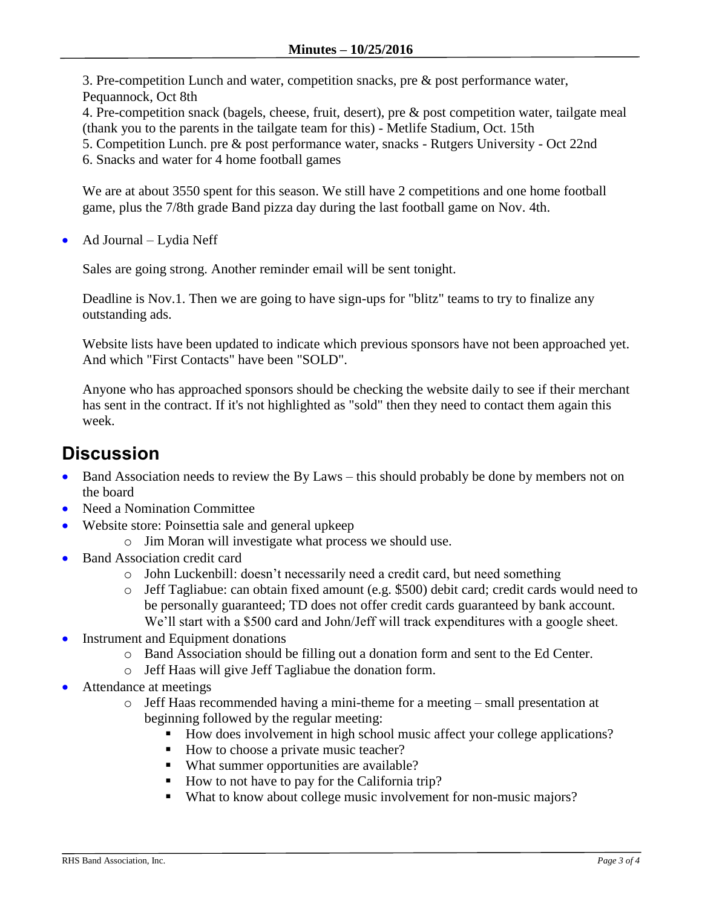3. Pre-competition Lunch and water, competition snacks, pre & post performance water, Pequannock, Oct 8th

4. Pre-competition snack (bagels, cheese, fruit, desert), pre & post competition water, tailgate meal (thank you to the parents in the tailgate team for this) - Metlife Stadium, Oct. 15th

5. Competition Lunch. pre & post performance water, snacks - Rutgers University - Oct 22nd

6. Snacks and water for 4 home football games

We are at about 3550 spent for this season. We still have 2 competitions and one home football game, plus the 7/8th grade Band pizza day during the last football game on Nov. 4th.

Ad Journal – Lydia Neff

Sales are going strong. Another reminder email will be sent tonight.

Deadline is Nov.1. Then we are going to have sign-ups for "blitz" teams to try to finalize any outstanding ads.

Website lists have been updated to indicate which previous sponsors have not been approached yet. And which "First Contacts" have been "SOLD".

Anyone who has approached sponsors should be checking the website daily to see if their merchant has sent in the contract. If it's not highlighted as "sold" then they need to contact them again this week.

### **Discussion**

- Band Association needs to review the By Laws this should probably be done by members not on the board
- Need a Nomination Committee
- Website store: Poinsettia sale and general upkeep
	- o Jim Moran will investigate what process we should use.
- Band Association credit card
	- o John Luckenbill: doesn't necessarily need a credit card, but need something
	- o Jeff Tagliabue: can obtain fixed amount (e.g. \$500) debit card; credit cards would need to be personally guaranteed; TD does not offer credit cards guaranteed by bank account. We'll start with a \$500 card and John/Jeff will track expenditures with a google sheet.
- Instrument and Equipment donations
	- o Band Association should be filling out a donation form and sent to the Ed Center.
	- o Jeff Haas will give Jeff Tagliabue the donation form.
- Attendance at meetings
	- o Jeff Haas recommended having a mini-theme for a meeting small presentation at beginning followed by the regular meeting:
		- How does involvement in high school music affect your college applications?
		- How to choose a private music teacher?
		- What summer opportunities are available?
		- How to not have to pay for the California trip?
		- What to know about college music involvement for non-music majors?